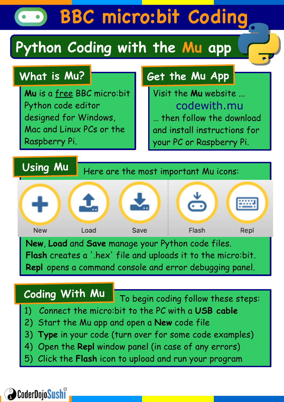# **BBC micro:bit Coding**

## **Python Coding with the Mu app**

## **What is Mu?**

**Using Mu**

**Mu** is a free BBC micro:bit Python code editor designed for Windows, Mac and Linux PCs or the Raspberry Pi.

## **Get the Mu App**

Visit the **Mu** website ... codewith.mu … then follow the download and install instructions for your PC or Raspberry Pi.

Here are the most important Mu icons:



**New**, **Load** and **Save** manage your Python code files. **Flash** creates a '.hex' file and uploads it to the micro:bit. **Repl** opens a command console and error debugging panel.

## **Coding With Mu**

To begin coding follow these steps:

- 1) Connect the micro:bit to the PC with a **USB cable**
- 2) Start the Mu app and open a **New** code file
- 3) **Type** in your code (turn over for some code examples)
- 4) Open the **Repl** window panel (in case of any errors)
- 5) Click the **Flash** icon to upload and run your program